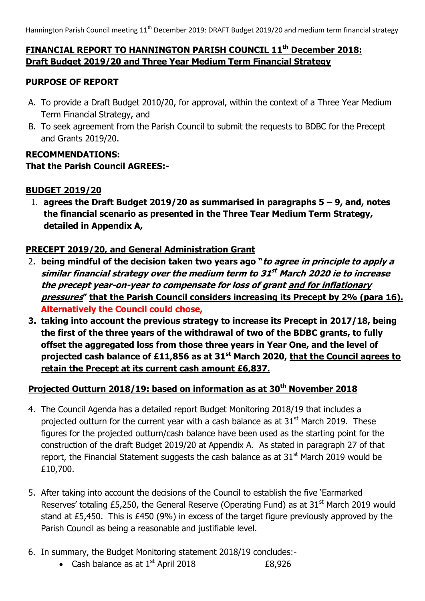# **FINANCIAL REPORT TO HANNINGTON PARISH COUNCIL 11 th December 2018: Draft Budget 2019/20 and Three Year Medium Term Financial Strategy**

# **PURPOSE OF REPORT**

- A. To provide a Draft Budget 2010/20, for approval, within the context of a Three Year Medium Term Financial Strategy, and
- B. To seek agreement from the Parish Council to submit the requests to BDBC for the Precept and Grants 2019/20.

### **RECOMMENDATIONS:**

## **That the Parish Council AGREES:-**

## **BUDGET 2019/20**

1. **agrees the Draft Budget 2019/20 as summarised in paragraphs 5 – 9, and, notes the financial scenario as presented in the Three Tear Medium Term Strategy, detailed in Appendix A,**

# **PRECEPT 2019/20, and General Administration Grant**

- 2. **being mindful of the decision taken two years ago "to agree in principle to apply a similar financial strategy over the medium term to 31 st March 2020 ie to increase the precept year-on-year to compensate for loss of grant and for inflationary pressures" that the Parish Council considers increasing its Precept by 2% (para 16). Alternatively the Council could chose,**
- **3. taking into account the previous strategy to increase its Precept in 2017/18, being the first of the three years of the withdrawal of two of the BDBC grants, to fully offset the aggregated loss from those three years in Year One, and the level of projected cash balance of £11,856 as at 31st March 2020, that the Council agrees to retain the Precept at its current cash amount £6,837.**

# **Projected Outturn 2018/19: based on information as at 30th November 2018**

- 4. The Council Agenda has a detailed report Budget Monitoring 2018/19 that includes a projected outturn for the current year with a cash balance as at  $31<sup>st</sup>$  March 2019. These figures for the projected outturn/cash balance have been used as the starting point for the construction of the draft Budget 2019/20 at Appendix A. As stated in paragraph 27 of that report, the Financial Statement suggests the cash balance as at  $31<sup>st</sup>$  March 2019 would be £10,700.
- 5. After taking into account the decisions of the Council to establish the five 'Earmarked Reserves' totaling £5,250, the General Reserve (Operating Fund) as at  $31<sup>st</sup>$  March 2019 would stand at £5,450. This is £450 (9%) in excess of the target figure previously approved by the Parish Council as being a reasonable and justifiable level.
- 6. In summary, the Budget Monitoring statement 2018/19 concludes:-
	- Cash balance as at  $1^{st}$  April 2018  $\epsilon$ 8,926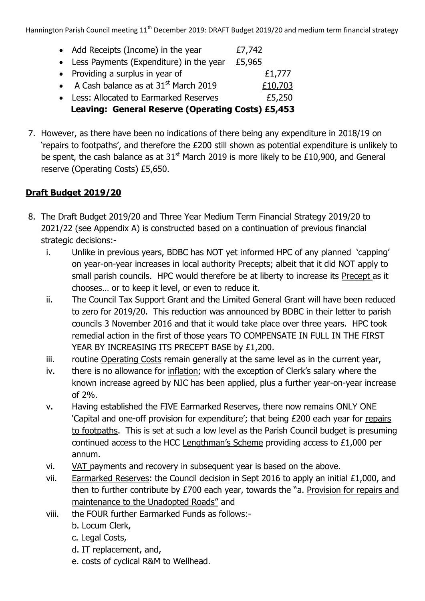Hannington Parish Council meeting 11<sup>th</sup> December 2019: DRAFT Budget 2019/20 and medium term financial strategy

| • Add Receipts (Income) in the year               | £7,742  |
|---------------------------------------------------|---------|
| • Less Payments (Expenditure) in the year         | £5,965  |
| • Providing a surplus in year of                  | £1,777  |
| • A Cash balance as at $31st$ March 2019          | £10,703 |
| • Less: Allocated to Earmarked Reserves           | £5,250  |
| Leaving: General Reserve (Operating Costs) £5,453 |         |

7. However, as there have been no indications of there being any expenditure in 2018/19 on 'repairs to footpaths', and therefore the £200 still shown as potential expenditure is unlikely to be spent, the cash balance as at  $31<sup>st</sup>$  March 2019 is more likely to be £10,900, and General reserve (Operating Costs) £5,650.

# **Draft Budget 2019/20**

- 8. The Draft Budget 2019/20 and Three Year Medium Term Financial Strategy 2019/20 to 2021/22 (see Appendix A) is constructed based on a continuation of previous financial strategic decisions:
	- i. Unlike in previous years, BDBC has NOT yet informed HPC of any planned 'capping' on year-on-year increases in local authority Precepts; albeit that it did NOT apply to small parish councils. HPC would therefore be at liberty to increase its Precept as it chooses… or to keep it level, or even to reduce it.
	- ii. The Council Tax Support Grant and the Limited General Grant will have been reduced to zero for 2019/20. This reduction was announced by BDBC in their letter to parish councils 3 November 2016 and that it would take place over three years. HPC took remedial action in the first of those years TO COMPENSATE IN FULL IN THE FIRST YEAR BY INCREASING ITS PRECEPT BASE by £1,200.
	- iii. routine Operating Costs remain generally at the same level as in the current year,
	- iv. there is no allowance for inflation; with the exception of Clerk's salary where the known increase agreed by NJC has been applied, plus a further year-on-year increase of 2%.
	- v. Having established the FIVE Earmarked Reserves, there now remains ONLY ONE 'Capital and one-off provision for expenditure'; that being £200 each year for repairs to footpaths. This is set at such a low level as the Parish Council budget is presuming continued access to the HCC Lengthman's Scheme providing access to £1,000 per annum.
	- vi. VAT payments and recovery in subsequent year is based on the above.
	- vii. Earmarked Reserves: the Council decision in Sept 2016 to apply an initial £1,000, and then to further contribute by £700 each year, towards the "a. Provision for repairs and maintenance to the Unadopted Roads" and
	- viii. the FOUR further Earmarked Funds as follows:
		- b. Locum Clerk,
		- c. Legal Costs,
		- d. IT replacement, and,
		- e. costs of cyclical R&M to Wellhead.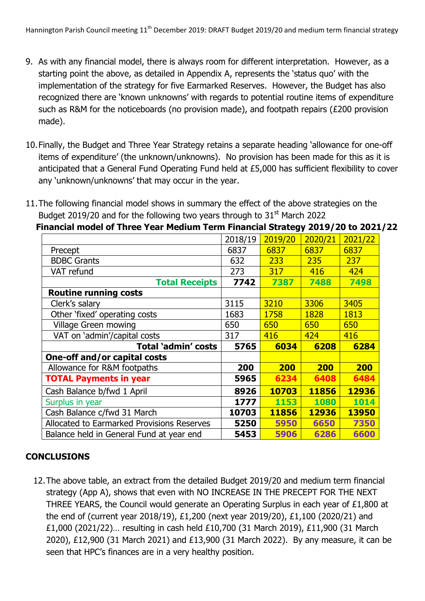- 9. As with any financial model, there is always room for different interpretation. However, as a starting point the above, as detailed in Appendix A, represents the 'status quo' with the implementation of the strategy for five Earmarked Reserves. However, the Budget has also recognized there are 'known unknowns' with regards to potential routine items of expenditure such as R&M for the noticeboards (no provision made), and footpath repairs (£200 provision made).
- 10.Finally, the Budget and Three Year Strategy retains a separate heading 'allowance for one-off items of expenditure' (the unknown/unknowns). No provision has been made for this as it is anticipated that a General Fund Operating Fund held at £5,000 has sufficient flexibility to cover any 'unknown/unknowns' that may occur in the year.

|                                            | 2018/19 | 2019/20    | 2020/21     | 2021/22      |
|--------------------------------------------|---------|------------|-------------|--------------|
| Precept                                    | 6837    | 6837       | 6837        | 6837         |
| <b>BDBC Grants</b>                         | 632     | 233        | 235         | 237          |
| VAT refund                                 | 273     | 317        | 416         | 424          |
| <b>Total Receipts</b>                      | 7742    | 7387       | 7488        | 7498         |
| <b>Routine running costs</b>               |         |            |             |              |
| Clerk's salary                             | 3115    | 3210       | 3306        | 3405         |
| Other 'fixed' operating costs              | 1683    | 1758       | 1828        | 1813         |
| <b>Village Green mowing</b>                | 650     | 650        | 650         | 650          |
| VAT on 'admin'/capital costs               | 317     | 416        | 424         | 416          |
| Total 'admin' costs                        | 5765    | 6034       | 6208        | 6284         |
| One-off and/or capital costs               |         |            |             |              |
| Allowance for R&M footpaths                | 200     | <b>200</b> | 200         | <b>200</b>   |
| <b>TOTAL Payments in year</b>              | 5965    | 6234       | 6408        | 6484         |
| Cash Balance b/fwd 1 April                 | 8926    | 10703      | 11856       | 12936        |
| Surplus in year                            | 1777    | 1153       | <b>1080</b> | 1014         |
| Cash Balance c/fwd 31 March                | 10703   | 11856      | 12936       | <b>13950</b> |
| Allocated to Earmarked Provisions Reserves | 5250    | 5950       | 6650        | 7350         |
| Balance held in General Fund at year end   | 5453    | 5906       | 6286        | 6600         |

11.The following financial model shows in summary the effect of the above strategies on the Budget 2019/20 and for the following two years through to  $31<sup>st</sup>$  March 2022

**Financial model of Three Year Medium Term Financial Strategy 2019/20 to 2021/22**

# **CONCLUSIONS**

12.The above table, an extract from the detailed Budget 2019/20 and medium term financial strategy (App A), shows that even with NO INCREASE IN THE PRECEPT FOR THE NEXT THREE YEARS, the Council would generate an Operating Surplus in each year of £1,800 at the end of (current year 2018/19), £1,200 (next year 2019/20), £1,100 (2020/21) and £1,000 (2021/22)… resulting in cash held £10,700 (31 March 2019), £11,900 (31 March 2020), £12,900 (31 March 2021) and £13,900 (31 March 2022). By any measure, it can be seen that HPC's finances are in a very healthy position.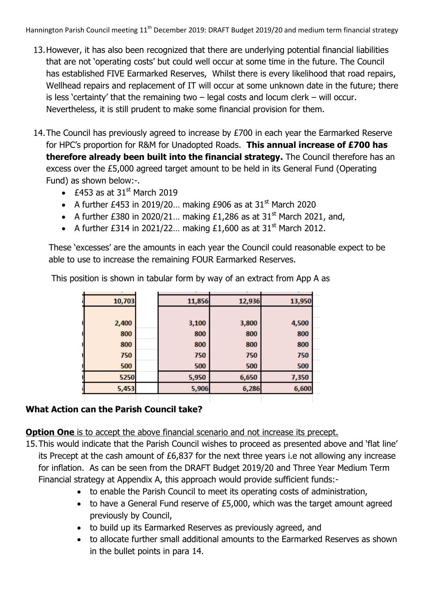Hannington Parish Council meeting 11<sup>th</sup> December 2019: DRAFT Budget 2019/20 and medium term financial strategy

- 13.However, it has also been recognized that there are underlying potential financial liabilities that are not 'operating costs' but could well occur at some time in the future. The Council has established FIVE Earmarked Reserves, Whilst there is every likelihood that road repairs, Wellhead repairs and replacement of IT will occur at some unknown date in the future; there is less 'certainty' that the remaining two  $-$  legal costs and locum clerk  $-$  will occur. Nevertheless, it is still prudent to make some financial provision for them.
- 14. The Council has previously agreed to increase by £700 in each year the Earmarked Reserve for HPC's proportion for R&M for Unadopted Roads. **This annual increase of £700 has therefore already been built into the financial strategy.** The Council therefore has an excess over the £5,000 agreed target amount to be held in its General Fund (Operating Fund) as shown below:-.
	- $\cdot$  £453 as at 31<sup>st</sup> March 2019
	- A further £453 in 2019/20... making £906 as at 31<sup>st</sup> March 2020
	- A further £380 in 2020/21... making £1,286 as at  $31<sup>st</sup>$  March 2021, and,
	- A further £314 in 2021/22... making £1,600 as at 31<sup>st</sup> March 2012.

These 'excesses' are the amounts in each year the Council could reasonable expect to be able to use to increase the remaining FOUR Earmarked Reserves.

| 10,703 | 11,856 | 12,936 | 13,950 |
|--------|--------|--------|--------|
|        |        |        |        |
| 2,400  | 3,100  | 3,800  | 4,500  |
| 800    | 800    | 800    | 800    |
| 800    | 800    | 800    | 800    |
| 750    | 750    | 750    | 750    |
| 500    | 500    | 500    | 500    |
| 5250   | 5,950  | 6,650  | 7,350  |
| 5,453  | 5,906  | 6,286  | 6,600  |
|        |        |        |        |

This position is shown in tabular form by way of an extract from App A as

# **What Action can the Parish Council take?**

**Option One** is to accept the above financial scenario and not increase its precept.

- 15.This would indicate that the Parish Council wishes to proceed as presented above and 'flat line' its Precept at the cash amount of £6,837 for the next three years i.e not allowing any increase for inflation. As can be seen from the DRAFT Budget 2019/20 and Three Year Medium Term Financial strategy at Appendix A, this approach would provide sufficient funds:
	- to enable the Parish Council to meet its operating costs of administration,
	- to have a General Fund reserve of £5,000, which was the target amount agreed previously by Council,
	- to build up its Earmarked Reserves as previously agreed, and
	- to allocate further small additional amounts to the Earmarked Reserves as shown in the bullet points in para 14.